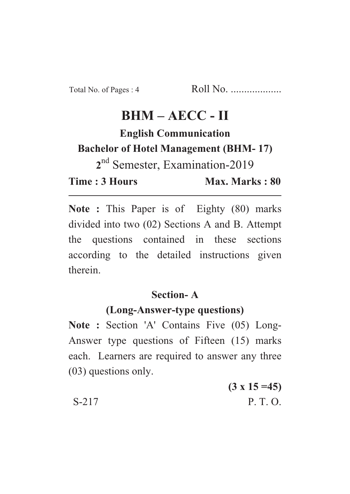# $BHM - ABCC - II$

**English Communication Example 2** Bachelor of Hotel Management (BHM-17) 2<sup>nd</sup> Semester, Examination-2019

**22** Time: 3 Hours **Time : 3 Hours Max. Marks : 80**

Max. Marks: 80

Note : This Paper is of Eighty (80) marks divided into two (02) Sections A and B. Attempt the questions contained in these sections according to the detailed instructions given therein.

## **Section-A**

# (Long-Answer-type questions)

**(Long-Answer-type questions) Note : Section 'A' Contains Five (05) Long-**Answer type questions of Fifteen (15) marks each. Learners are required to answer any three (03) questions only.

 $(3 - 15)$ S-217 P. T. O.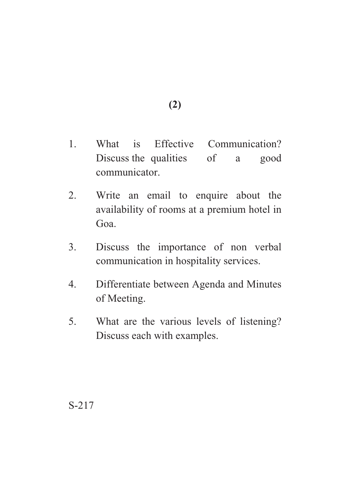**(2)**

- 1. What is Effective Communication? Discuss the qualities of a good communicator.
- 2. Write an email to enquire about the availability of rooms at a premium hotel in Goa.
- 3. Discuss the importance of non verbal communication in hospitality services.
- 4. Differentiate between Agenda and Minutes of Meeting.
- 5. What are the various levels of listening? Discuss each with examples.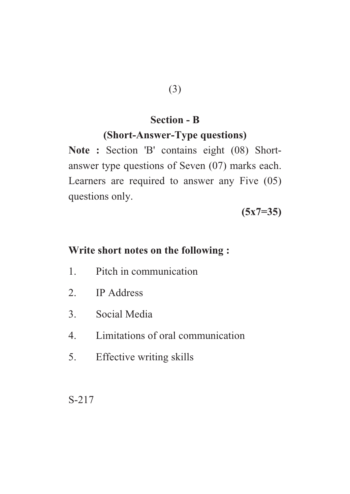#### **Section - B**

## **(Short-Answer-Type questions)**

**(Short-Answer-Type questions) Note :** Section 'B' contains eight (08) Shortanswer type questions of Seven (07) marks each. Learners are required to answer any Five (05) questions only.

**(5x7=35)**

## **Write short notes on the following :**

- 1. Pitch in communication
- 2. IP Address
- 3. Social Media
- 4. Limitations of oral communication
- 5. Effective writing skills

S-217